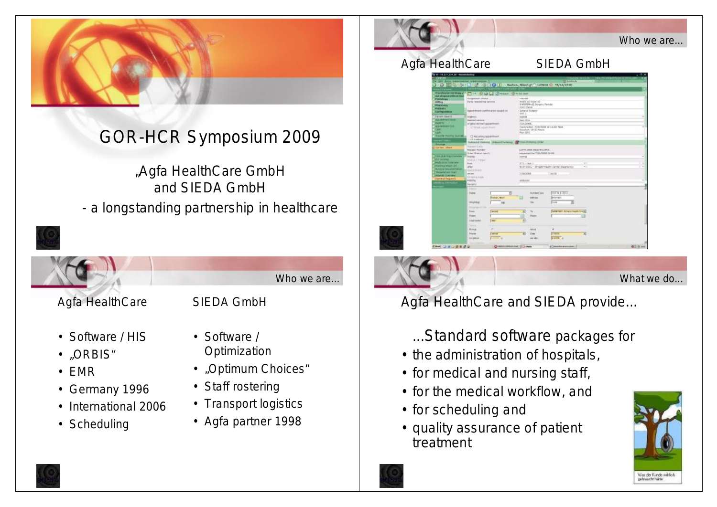

# GOR-HCR Symposium 2009

"Agfa HealthCare GmbH and SIEDA GmbH - a longstanding partnership in healthcare



• Scheduling

- Transport logistics
- Agfa partner 1998



Agfa HealthCare and SIEDA provide...

## ... Standard software packages for

- the administration of hospitals,
- for medical and nursing staff,
- for the medical workflow, and
- for scheduling and
- quality assurance of patient treatment



What we do...

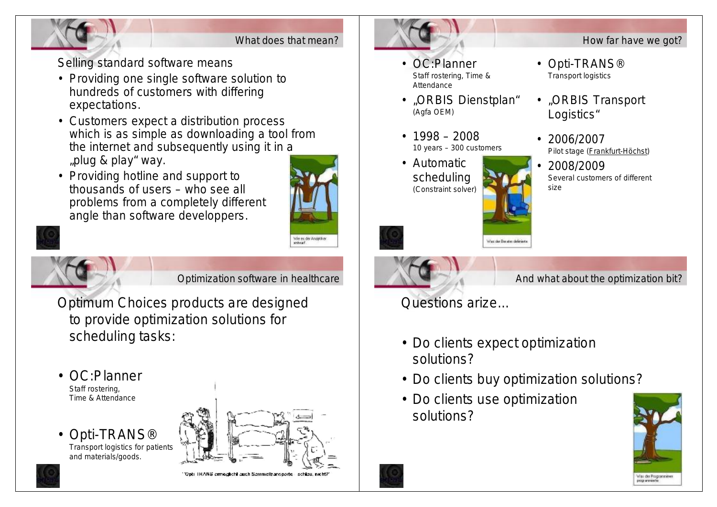

What does that mean?

Selling standard software means

- Providing one single software solution to hundreds of customers with differing expectations.
- Customers expect a distribution process which is as simple as downloading a tool from the internet and subsequently using it in a "plug & play" way.
- Providing hotline and support to thousands of users – who see all problems from a completely different angle than software developpers.





Optimization software in healthcare

Optimum Choices products are designed to provide optimization solutions for scheduling tasks:

- OC:Planner Staff rostering, Time & Attendance
- Opti-TRANS® Transport logistics for patients and materials/goods.





 $\sim$ 

- OC:Planner Staff rostering, Time & Attendance
- "ORBIS Dienstplan" (Agfa OEM)
- 1998 2008 10 years – 300 customers
- Automatic scheduling (Constraint solver)
- Opti-TRANS® Transport logistics
- "ORBIS Transport Logistics"

How far have we got?

- 2006/2007 Pilot stage (Frankfurt-Höchst)
- 2008/2009 Several customers of different size





And what about the optimization bit?

Questions arize...

• Do clients expect optimization solutions?

Wax der Berates definier

- Do clients buy optimization solutions?
- Do clients use optimization solutions?



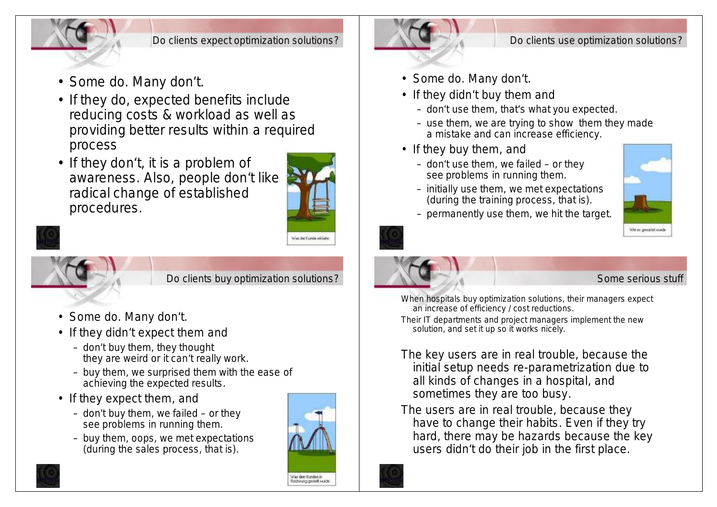

#### Do clients expect optimization solutions?

- Some do. Many don't.
- If they do, expected benefits include reducing costs & workload as well as providing better results within a required process
- If they don't, it is a problem of awareness. Also, people don't like radical change of established procedures.





Do clients buy optimization solutions?

- Some do. Many don't.
- If they didn't expect them and
	- don't buy them, they thought they are weird or it can't really work.
	- buy them, we surprised them with the ease of achieving the expected results.
- If they expect them, and
	- don't buy them, we failed or they see problems in running them.
	- buy them, oops, we met expectations (during the sales process, that is).





- Some do. Many don't.
- If they didn't buy them and
	- don't use them, that's what you expected.
	- use them, we are trying to show them they made a mistake and can increase efficiency.
- If they buy them, and
	- don't use them, we failed or they see problems in running them.



– permanently use them, we hit the target.

– initially use them, we met expectations (during the training process, that is).





### Some serious stuff

- When hospitals buy optimization solutions, their managers expect an increase of efficiency / cost reductions.
- Their IT departments and project managers implement the new solution, and set it up so it works nicely.
- The key users are in real trouble, because the initial setup needs re-parametrization due to all kinds of changes in a hospital, and sometimes they are too busy.
- The users are in real trouble, because they have to change their habits. Even if they try hard, there may be hazards because the key users didn't do their job in the first place.